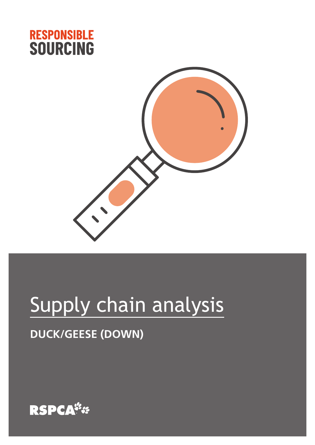



# Supply chain analysis

# **DUCK/GEESE (DOWN)**